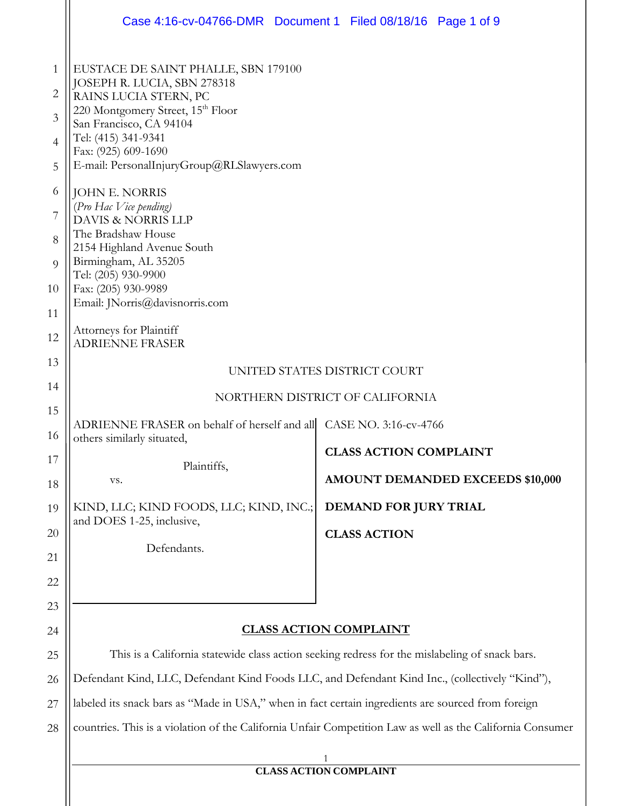|                                                                                 | Case 4:16-cv-04766-DMR  Document 1  Filed 08/18/16  Page 1 of 9                                                                                                                                                                                                                                                                                                                                                                                                                                                  |                                                                   |  |
|---------------------------------------------------------------------------------|------------------------------------------------------------------------------------------------------------------------------------------------------------------------------------------------------------------------------------------------------------------------------------------------------------------------------------------------------------------------------------------------------------------------------------------------------------------------------------------------------------------|-------------------------------------------------------------------|--|
| 1<br>$\overline{2}$<br>3<br>4<br>5<br>6<br>7<br>8<br>$\Omega$<br>10<br>11<br>12 | EUSTACE DE SAINT PHALLE, SBN 179100<br>JOSEPH R. LUCIA, SBN 278318<br>RAINS LUCIA STERN, PC<br>220 Montgomery Street, 15th Floor<br>San Francisco, CA 94104<br>Tel: (415) 341-9341<br>Fax: (925) 609-1690<br>E-mail: PersonalInjuryGroup@RLSlawyers.com<br>JOHN E. NORRIS<br>(Pro Hac Vice pending)<br>DAVIS & NORRIS LLP<br>The Bradshaw House<br>2154 Highland Avenue South<br>Birmingham, AL 35205<br>Tel: (205) 930-9900<br>Fax: (205) 930-9989<br>Email: JNorris@davisnorris.com<br>Attorneys for Plaintiff |                                                                   |  |
| 13                                                                              | <b>ADRIENNE FRASER</b>                                                                                                                                                                                                                                                                                                                                                                                                                                                                                           |                                                                   |  |
| 14                                                                              | UNITED STATES DISTRICT COURT                                                                                                                                                                                                                                                                                                                                                                                                                                                                                     |                                                                   |  |
| 15                                                                              | NORTHERN DISTRICT OF CALIFORNIA                                                                                                                                                                                                                                                                                                                                                                                                                                                                                  |                                                                   |  |
| 16                                                                              | ADRIENNE FRASER on behalf of herself and all CASE NO. 3:16-cv-4766<br>others similarly situated,                                                                                                                                                                                                                                                                                                                                                                                                                 |                                                                   |  |
| 17<br>18                                                                        | Plaintiffs,<br>VS.                                                                                                                                                                                                                                                                                                                                                                                                                                                                                               | <b>CLASS ACTION COMPLAINT</b><br>AMOUNT DEMANDED EXCEEDS \$10,000 |  |
| 19                                                                              | KIND, LLC; KIND FOODS, LLC; KIND, INC.;                                                                                                                                                                                                                                                                                                                                                                                                                                                                          | DEMAND FOR JURY TRIAL                                             |  |
| 20                                                                              | and DOES 1-25, inclusive,                                                                                                                                                                                                                                                                                                                                                                                                                                                                                        | <b>CLASS ACTION</b>                                               |  |
| 21                                                                              | Defendants.                                                                                                                                                                                                                                                                                                                                                                                                                                                                                                      |                                                                   |  |
| 22                                                                              |                                                                                                                                                                                                                                                                                                                                                                                                                                                                                                                  |                                                                   |  |
| 23                                                                              |                                                                                                                                                                                                                                                                                                                                                                                                                                                                                                                  |                                                                   |  |
| 24                                                                              | <b>CLASS ACTION COMPLAINT</b>                                                                                                                                                                                                                                                                                                                                                                                                                                                                                    |                                                                   |  |
| 25                                                                              | This is a California statewide class action seeking redress for the mislabeling of snack bars.                                                                                                                                                                                                                                                                                                                                                                                                                   |                                                                   |  |
| 26                                                                              | Defendant Kind, LLC, Defendant Kind Foods LLC, and Defendant Kind Inc., (collectively "Kind"),                                                                                                                                                                                                                                                                                                                                                                                                                   |                                                                   |  |
| 27                                                                              | labeled its snack bars as "Made in USA," when in fact certain ingredients are sourced from foreign                                                                                                                                                                                                                                                                                                                                                                                                               |                                                                   |  |
| 28                                                                              | countries. This is a violation of the California Unfair Competition Law as well as the California Consumer                                                                                                                                                                                                                                                                                                                                                                                                       |                                                                   |  |
|                                                                                 |                                                                                                                                                                                                                                                                                                                                                                                                                                                                                                                  |                                                                   |  |
|                                                                                 | <b>CLASS ACTION COMPLAINT</b>                                                                                                                                                                                                                                                                                                                                                                                                                                                                                    |                                                                   |  |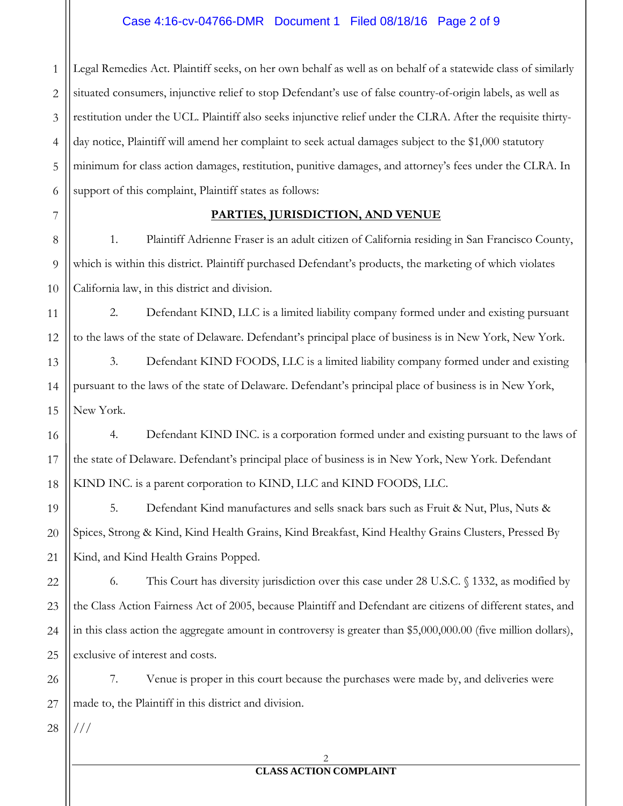### Case 4:16-cv-04766-DMR Document 1 Filed 08/18/16 Page 2 of 9

1 2 3 4 5 6 Legal Remedies Act. Plaintiff seeks, on her own behalf as well as on behalf of a statewide class of similarly situated consumers, injunctive relief to stop Defendant's use of false country-of-origin labels, as well as restitution under the UCL. Plaintiff also seeks injunctive relief under the CLRA. After the requisite thirtyday notice, Plaintiff will amend her complaint to seek actual damages subject to the \$1,000 statutory minimum for class action damages, restitution, punitive damages, and attorney's fees under the CLRA. In support of this complaint, Plaintiff states as follows:

#### **PARTIES, JURISDICTION, AND VENUE**

1. Plaintiff Adrienne Fraser is an adult citizen of California residing in San Francisco County, which is within this district. Plaintiff purchased Defendant's products, the marketing of which violates California law, in this district and division.

2. Defendant KIND, LLC is a limited liability company formed under and existing pursuant to the laws of the state of Delaware. Defendant's principal place of business is in New York, New York.

3. Defendant KIND FOODS, LLC is a limited liability company formed under and existing pursuant to the laws of the state of Delaware. Defendant's principal place of business is in New York, New York.

4. Defendant KIND INC. is a corporation formed under and existing pursuant to the laws of the state of Delaware. Defendant's principal place of business is in New York, New York. Defendant KIND INC. is a parent corporation to KIND, LLC and KIND FOODS, LLC.

5. Defendant Kind manufactures and sells snack bars such as Fruit & Nut, Plus, Nuts & Spices, Strong & Kind, Kind Health Grains, Kind Breakfast, Kind Healthy Grains Clusters, Pressed By Kind, and Kind Health Grains Popped.

22 23 24 25 6. This Court has diversity jurisdiction over this case under 28 U.S.C. § 1332, as modified by the Class Action Fairness Act of 2005, because Plaintiff and Defendant are citizens of different states, and in this class action the aggregate amount in controversy is greater than \$5,000,000.00 (five million dollars), exclusive of interest and costs.

7. Venue is proper in this court because the purchases were made by, and deliveries were made to, the Plaintiff in this district and division.

28

///

26

27

7

8

9

10

11

12

13

14

15

16

17

18

19

20

21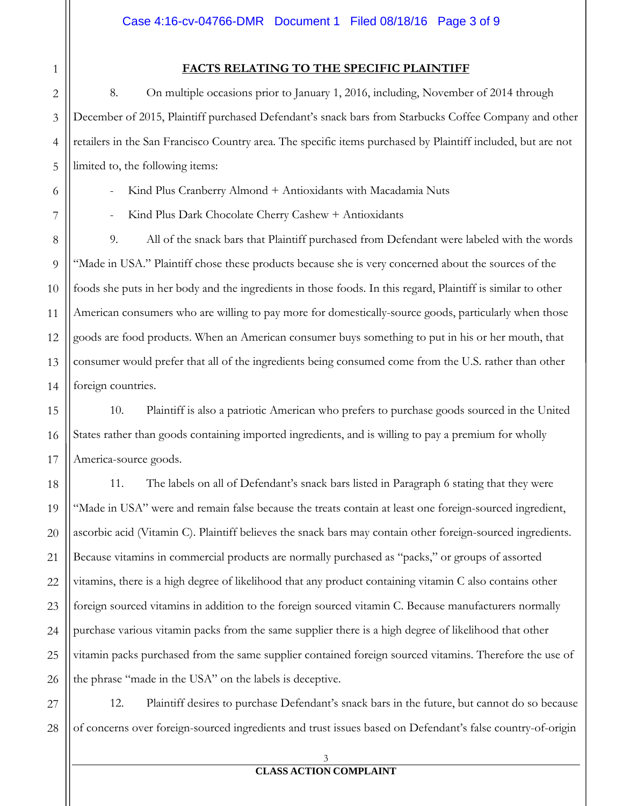### **FACTS RELATING TO THE SPECIFIC PLAINTIFF**

8. On multiple occasions prior to January 1, 2016, including, November of 2014 through December of 2015, Plaintiff purchased Defendant's snack bars from Starbucks Coffee Company and other retailers in the San Francisco Country area. The specific items purchased by Plaintiff included, but are not limited to, the following items:

Kind Plus Cranberry Almond + Antioxidants with Macadamia Nuts

Kind Plus Dark Chocolate Cherry Cashew + Antioxidants

9. All of the snack bars that Plaintiff purchased from Defendant were labeled with the words "Made in USA." Plaintiff chose these products because she is very concerned about the sources of the foods she puts in her body and the ingredients in those foods. In this regard, Plaintiff is similar to other American consumers who are willing to pay more for domestically-source goods, particularly when those goods are food products. When an American consumer buys something to put in his or her mouth, that consumer would prefer that all of the ingredients being consumed come from the U.S. rather than other foreign countries.

10. Plaintiff is also a patriotic American who prefers to purchase goods sourced in the United States rather than goods containing imported ingredients, and is willing to pay a premium for wholly America-source goods.

11. The labels on all of Defendant's snack bars listed in Paragraph 6 stating that they were "Made in USA" were and remain false because the treats contain at least one foreign-sourced ingredient, ascorbic acid (Vitamin C). Plaintiff believes the snack bars may contain other foreign-sourced ingredients. Because vitamins in commercial products are normally purchased as "packs," or groups of assorted vitamins, there is a high degree of likelihood that any product containing vitamin C also contains other foreign sourced vitamins in addition to the foreign sourced vitamin C. Because manufacturers normally purchase various vitamin packs from the same supplier there is a high degree of likelihood that other vitamin packs purchased from the same supplier contained foreign sourced vitamins. Therefore the use of the phrase "made in the USA" on the labels is deceptive.

12. Plaintiff desires to purchase Defendant's snack bars in the future, but cannot do so because of concerns over foreign-sourced ingredients and trust issues based on Defendant's false country-of-origin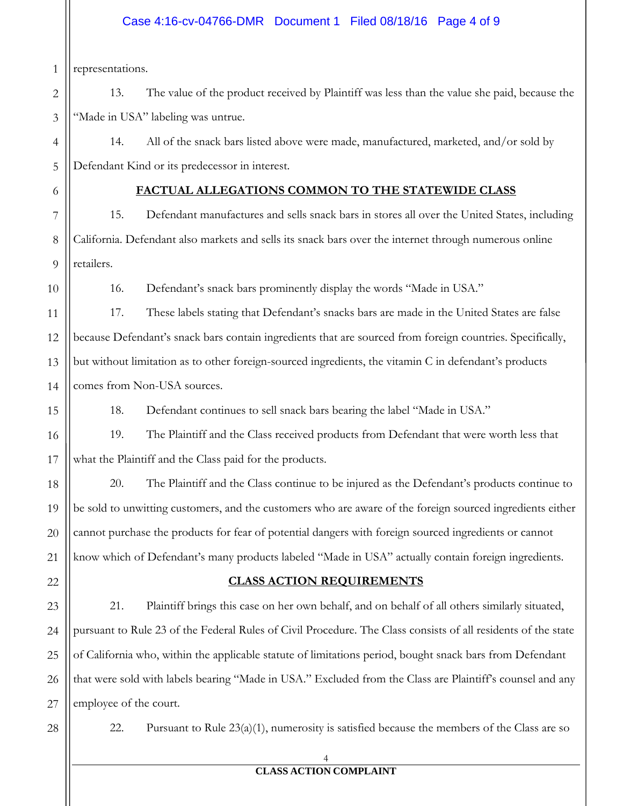# Case 4:16-cv-04766-DMR Document 1 Filed 08/18/16 Page 4 of 9

1 representations.

6

7

8

9

10

11

12

13

14

15

16

17

18

19

20

21

2 3 13. The value of the product received by Plaintiff was less than the value she paid, because the "Made in USA" labeling was untrue.

4 5 14. All of the snack bars listed above were made, manufactured, marketed, and/or sold by Defendant Kind or its predecessor in interest.

# **FACTUAL ALLEGATIONS COMMON TO THE STATEWIDE CLASS**

15. Defendant manufactures and sells snack bars in stores all over the United States, including California. Defendant also markets and sells its snack bars over the internet through numerous online retailers.

16. Defendant's snack bars prominently display the words "Made in USA."

17. These labels stating that Defendant's snacks bars are made in the United States are false because Defendant's snack bars contain ingredients that are sourced from foreign countries. Specifically, but without limitation as to other foreign-sourced ingredients, the vitamin C in defendant's products comes from Non-USA sources.

18. Defendant continues to sell snack bars bearing the label "Made in USA."

19. The Plaintiff and the Class received products from Defendant that were worth less that what the Plaintiff and the Class paid for the products.

20. The Plaintiff and the Class continue to be injured as the Defendant's products continue to be sold to unwitting customers, and the customers who are aware of the foreign sourced ingredients either cannot purchase the products for fear of potential dangers with foreign sourced ingredients or cannot know which of Defendant's many products labeled "Made in USA" actually contain foreign ingredients.

# 22

# **CLASS ACTION REQUIREMENTS**

23 24 25 26 27 21. Plaintiff brings this case on her own behalf, and on behalf of all others similarly situated, pursuant to Rule 23 of the Federal Rules of Civil Procedure. The Class consists of all residents of the state of California who, within the applicable statute of limitations period, bought snack bars from Defendant that were sold with labels bearing "Made in USA." Excluded from the Class are Plaintiff's counsel and any employee of the court.

28

22. Pursuant to Rule  $23(a)(1)$ , numerosity is satisfied because the members of the Class are so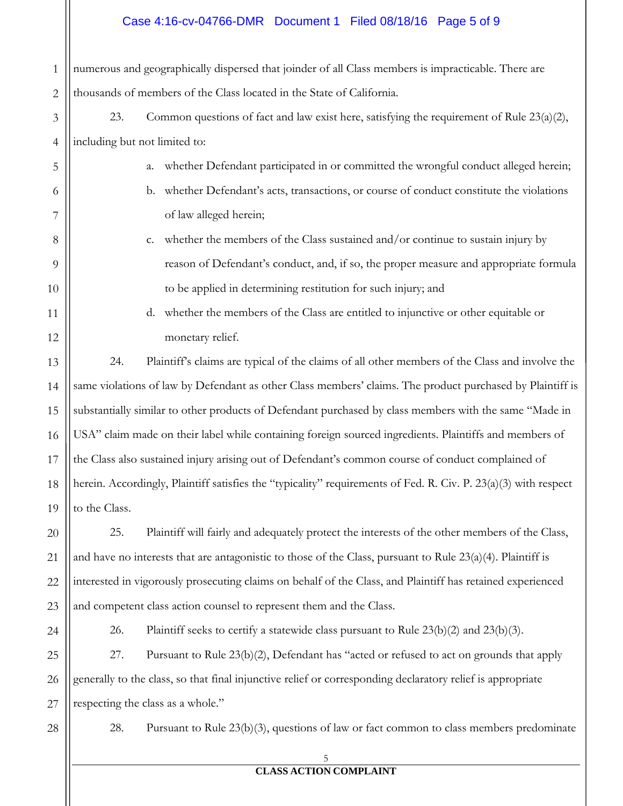### Case 4:16-cv-04766-DMR Document 1 Filed 08/18/16 Page 5 of 9

1 2 numerous and geographically dispersed that joinder of all Class members is impracticable. There are thousands of members of the Class located in the State of California.

- 3 4 23. Common questions of fact and law exist here, satisfying the requirement of Rule  $23(a)(2)$ , including but not limited to:
	- a. whether Defendant participated in or committed the wrongful conduct alleged herein;
		- b. whether Defendant's acts, transactions, or course of conduct constitute the violations of law alleged herein;
	- c. whether the members of the Class sustained and/or continue to sustain injury by reason of Defendant's conduct, and, if so, the proper measure and appropriate formula to be applied in determining restitution for such injury; and
		- d. whether the members of the Class are entitled to injunctive or other equitable or monetary relief.

24. Plaintiff's claims are typical of the claims of all other members of the Class and involve the same violations of law by Defendant as other Class members' claims. The product purchased by Plaintiff is substantially similar to other products of Defendant purchased by class members with the same "Made in USA" claim made on their label while containing foreign sourced ingredients. Plaintiffs and members of the Class also sustained injury arising out of Defendant's common course of conduct complained of herein. Accordingly, Plaintiff satisfies the "typicality" requirements of Fed. R. Civ. P. 23(a)(3) with respect to the Class.

25. Plaintiff will fairly and adequately protect the interests of the other members of the Class, and have no interests that are antagonistic to those of the Class, pursuant to Rule  $23(a)(4)$ . Plaintiff is interested in vigorously prosecuting claims on behalf of the Class, and Plaintiff has retained experienced and competent class action counsel to represent them and the Class.

26. Plaintiff seeks to certify a statewide class pursuant to Rule 23(b)(2) and 23(b)(3).

25 26 27 27. Pursuant to Rule 23(b)(2), Defendant has "acted or refused to act on grounds that apply generally to the class, so that final injunctive relief or corresponding declaratory relief is appropriate respecting the class as a whole."

28

5

6

7

8

9

10

11

12

13

14

15

16

17

18

19

20

21

22

23

24

28. Pursuant to Rule 23(b)(3), questions of law or fact common to class members predominate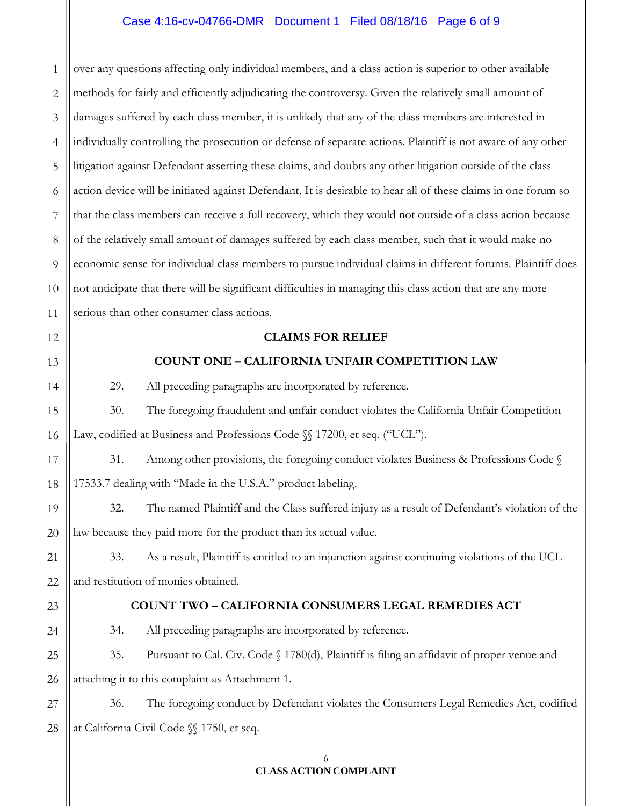### Case 4:16-cv-04766-DMR Document 1 Filed 08/18/16 Page 6 of 9

1 2 3 4 5 6 7 8 9 10 11 over any questions affecting only individual members, and a class action is superior to other available methods for fairly and efficiently adjudicating the controversy. Given the relatively small amount of damages suffered by each class member, it is unlikely that any of the class members are interested in individually controlling the prosecution or defense of separate actions. Plaintiff is not aware of any other litigation against Defendant asserting these claims, and doubts any other litigation outside of the class action device will be initiated against Defendant. It is desirable to hear all of these claims in one forum so that the class members can receive a full recovery, which they would not outside of a class action because of the relatively small amount of damages suffered by each class member, such that it would make no economic sense for individual class members to pursue individual claims in different forums. Plaintiff does not anticipate that there will be significant difficulties in managing this class action that are any more serious than other consumer class actions.

#### **CLAIMS FOR RELIEF**

#### **COUNT ONE – CALIFORNIA UNFAIR COMPETITION LAW**

29. All preceding paragraphs are incorporated by reference.

30. The foregoing fraudulent and unfair conduct violates the California Unfair Competition Law, codified at Business and Professions Code  $\mathcal{N}$  17200, et seq. ("UCL").

17 18 31. Among other provisions, the foregoing conduct violates Business & Professions Code § 17533.7 dealing with "Made in the U.S.A." product labeling.

19 20 32. The named Plaintiff and the Class suffered injury as a result of Defendant's violation of the law because they paid more for the product than its actual value.

21 22 33. As a result, Plaintiff is entitled to an injunction against continuing violations of the UCL and restitution of monies obtained.

23

24

12

13

14

15

16

#### **COUNT TWO – CALIFORNIA CONSUMERS LEGAL REMEDIES ACT**

34. All preceding paragraphs are incorporated by reference.

25 26 35. Pursuant to Cal. Civ. Code § 1780(d), Plaintiff is filing an affidavit of proper venue and attaching it to this complaint as Attachment 1.

27 28 36. The foregoing conduct by Defendant violates the Consumers Legal Remedies Act, codified at California Civil Code §§ 1750, et seq.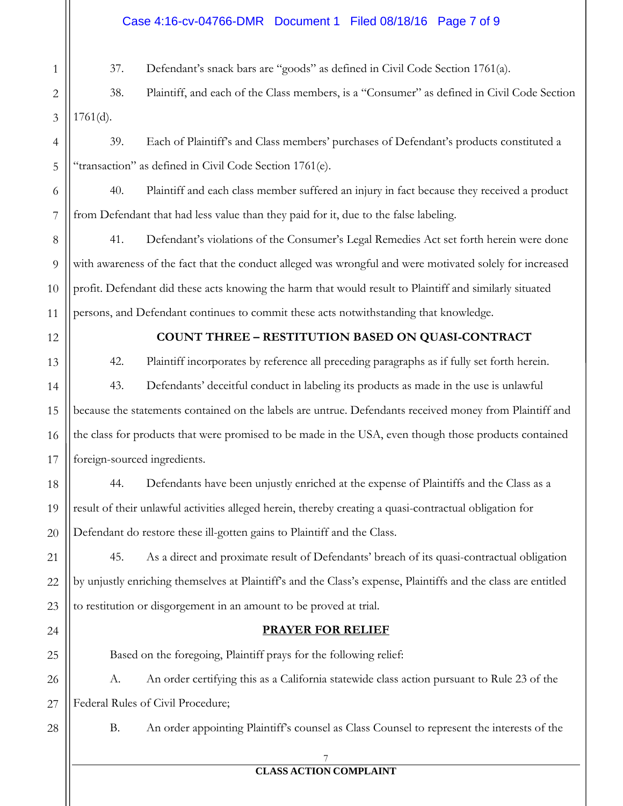## Case 4:16-cv-04766-DMR Document 1 Filed 08/18/16 Page 7 of 9

37. Defendant's snack bars are "goods" as defined in Civil Code Section 1761(a).

2 3 38. Plaintiff, and each of the Class members, is a "Consumer" as defined in Civil Code Section  $1761(d)$ .

39. Each of Plaintiff's and Class members' purchases of Defendant's products constituted a "transaction" as defined in Civil Code Section 1761(e).

40. Plaintiff and each class member suffered an injury in fact because they received a product from Defendant that had less value than they paid for it, due to the false labeling.

41. Defendant's violations of the Consumer's Legal Remedies Act set forth herein were done with awareness of the fact that the conduct alleged was wrongful and were motivated solely for increased profit. Defendant did these acts knowing the harm that would result to Plaintiff and similarly situated persons, and Defendant continues to commit these acts notwithstanding that knowledge.

1

4

5

6

7

8

9

10

11

12

13

14

15

16

17

21

24

# **COUNT THREE – RESTITUTION BASED ON QUASI-CONTRACT**

42. Plaintiff incorporates by reference all preceding paragraphs as if fully set forth herein. 43. Defendants' deceitful conduct in labeling its products as made in the use is unlawful because the statements contained on the labels are untrue. Defendants received money from Plaintiff and the class for products that were promised to be made in the USA, even though those products contained foreign-sourced ingredients.

18 19 20 44. Defendants have been unjustly enriched at the expense of Plaintiffs and the Class as a result of their unlawful activities alleged herein, thereby creating a quasi-contractual obligation for Defendant do restore these ill-gotten gains to Plaintiff and the Class.

22 23 45. As a direct and proximate result of Defendants' breach of its quasi-contractual obligation by unjustly enriching themselves at Plaintiff's and the Class's expense, Plaintiffs and the class are entitled to restitution or disgorgement in an amount to be proved at trial.

# **PRAYER FOR RELIEF**

25 26 27 Based on the foregoing, Plaintiff prays for the following relief: A. An order certifying this as a California statewide class action pursuant to Rule 23 of the Federal Rules of Civil Procedure;

28

B. An order appointing Plaintiff's counsel as Class Counsel to represent the interests of the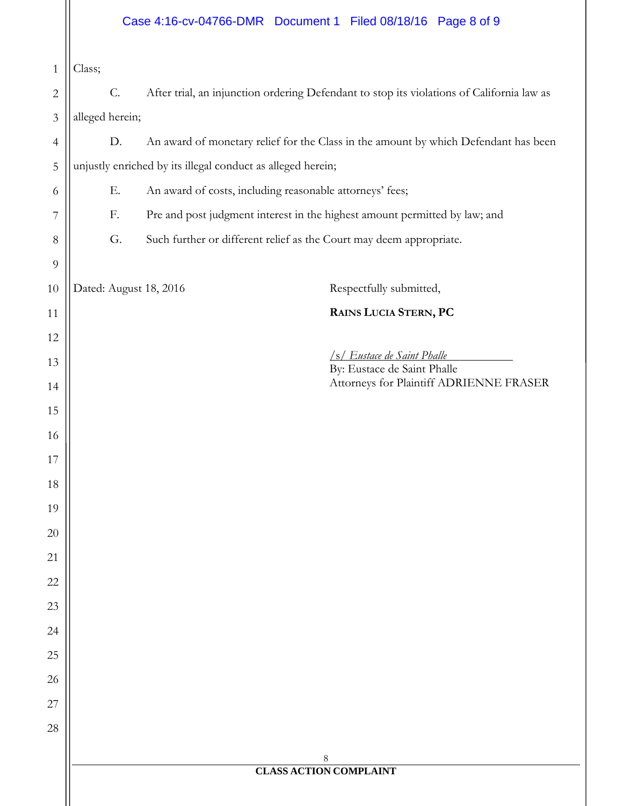# Case 4:16-cv-04766-DMR Document 1 Filed 08/18/16 Page 8 of 9

 Class;

| $2 \parallel$ |                        | After trial, an injunction ordering Defendant to stop its violations of California law as |
|---------------|------------------------|-------------------------------------------------------------------------------------------|
|               | $3$    alleged herein; |                                                                                           |

 D. An award of monetary relief for the Class in the amount by which Defendant has been unjustly enriched by its illegal conduct as alleged herein;

E. An award of costs, including reasonable attorneys' fees;

F. Pre and post judgment interest in the highest amount permitted by law; and

G. Such further or different relief as the Court may deem appropriate.

Dated: August 18, 2016 Respectfully submitted,

**RAINS LUCIA STERN, PC** 

/s/ *Eustace de Saint Phalle* 

 By: Eustace de Saint Phalle Attorneys for Plaintiff ADRIENNE FRASER